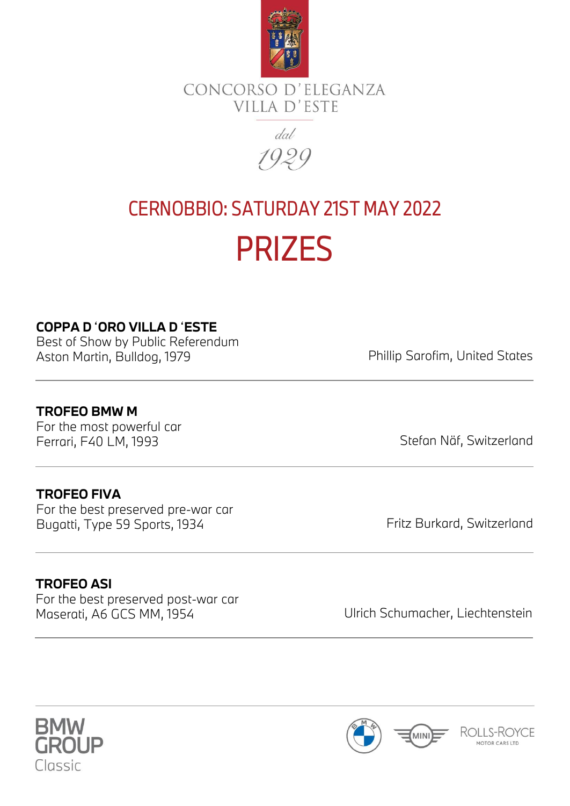



# CERNOBBIO: SATURDAY 21ST MAY 2022 PRIZES

## **COPPA D**'**ORO VILLA D**'**ESTE**

Best of Show by Public Referendum Aston Martin, Bulldog, 1979 **Phillip Sarofim, United States** 

### **TROFEO BMW M**

For the most powerful car Ferrari, F40 LM, 1993 Stefan Näf, Switzerland

### **TROFEO FIVA**

For the best preserved pre-war car Bugatti, Type 59 Sports, 1934 Fritz Burkard, Switzerland

## **TROFEO ASI**

For the best preserved post-war car Maserati, A6 GCS MM, 1954 Ulrich Schumacher, Liechtenstein







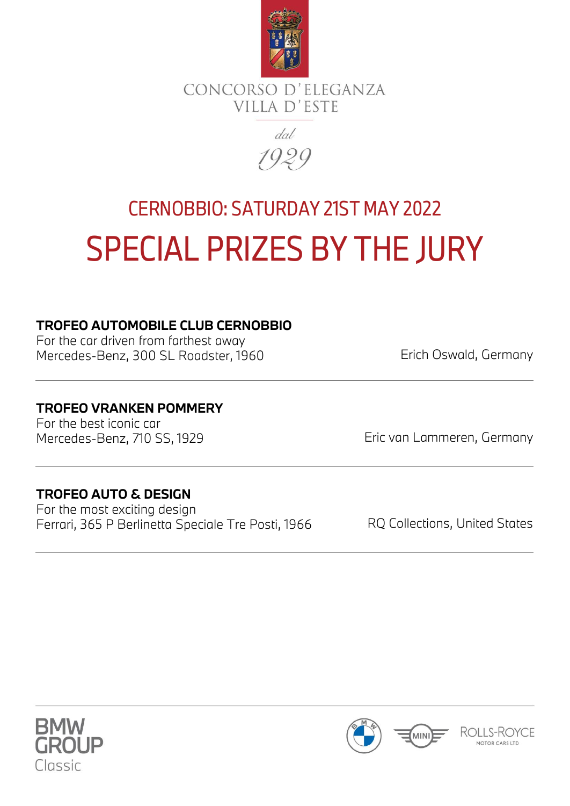



# CERNOBBIO: SATURDAY 21ST MAY 2022 SPECIAL PRIZES BY THE JURY

## **TROFEO AUTOMOBILE CLUB CERNOBBIO**

For the car driven from farthest away Mercedes-Benz, 300 SL Roadster, 1960 Erich Oswald, Germany

## **TROFEO VRANKEN POMMERY**

For the best iconic car

Mercedes-Benz, 710 SS, 1929 Eric van Lammeren, Germany

## **TROFEO AUTO & DESIGN**

For the most exciting design Ferrari, 365 P Berlinetta Speciale Tre Posti, 1966 RQ Collections, United States



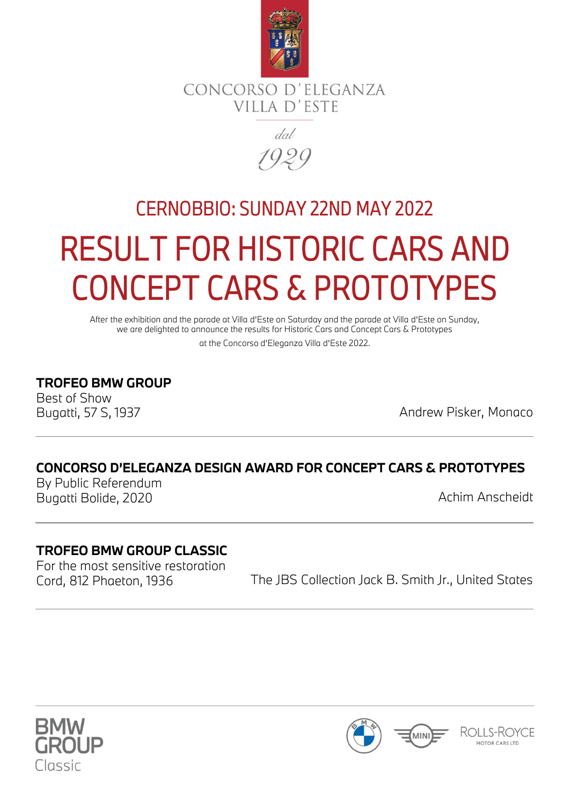



# CERNOBBIO: SUNDAY 22ND MAY 2022 RESULT FOR HISTORIC CARS AND CONCEPT CARS & PROTOTYPES

After the exhibition and the parade at Villa d'Este on Saturday and the parade at Villa d'Este on Sunday, we are delighted to announce the results for Historic Cars and Concept Cars & Prototypes at the Concorso d'Eleganza Villa d'Este 2022.

## **TROFEO BMW GROUP**

Best of Show

Bugatti, 57 S, 1937 **Bugatti, 57 S, 1937** 

## **CONCORSO D'ELEGANZA DESIGN AWARD FOR CONCEPT CARS & PROTOTYPES**

By Public Referendum Bugatti Bolide, 2020 Achim Anscheidt

## **TROFEO BMW GROUP CLASSIC**

For the most sensitive restoration

Cord, 812 Phaeton, 1936 The JBS Collection Jack B. Smith Jr., United States



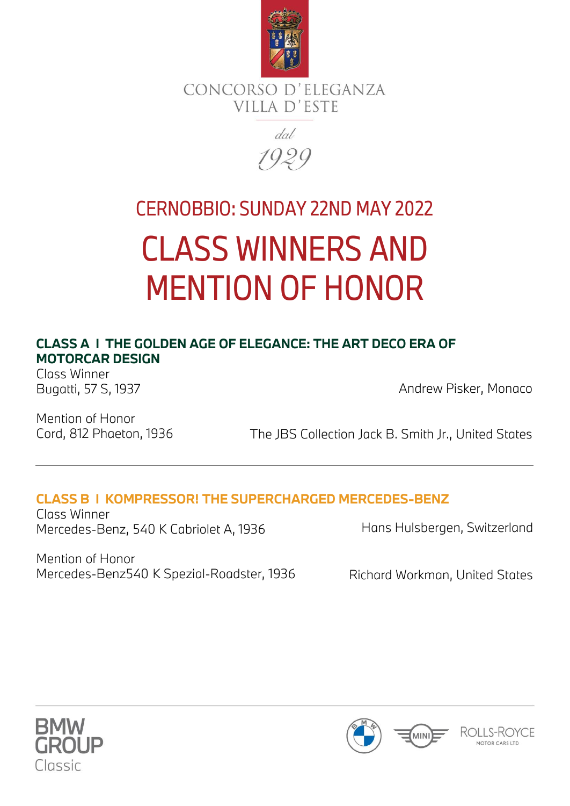



# CERNOBBIO: SUNDAY 22ND MAY 2022 CLASS WINNERS AND MENTION OF HONOR

### **CLASS A I THE GOLDEN AGE OF ELEGANCE: THE ART DECO ERA OF MOTORCAR DESIGN**

Class Winner Bugatti, 57 S, 1937

Andrew Pisker, Monaco

Mention of Honor Cord, 812 Phaeton, 1936

The JBS Collection Jack B. Smith Jr., United States

## **CLASS B I KOMPRESSOR! THE SUPERCHARGED MERCEDES-BENZ**

Class Winner Mercedes-Benz, 540 K Cabriolet A, 1936

Hans Hulsbergen, Switzerland

Mention of Honor Mercedes-Benz540 K Spezial-Roadster, 1936 Richard Workman, United States



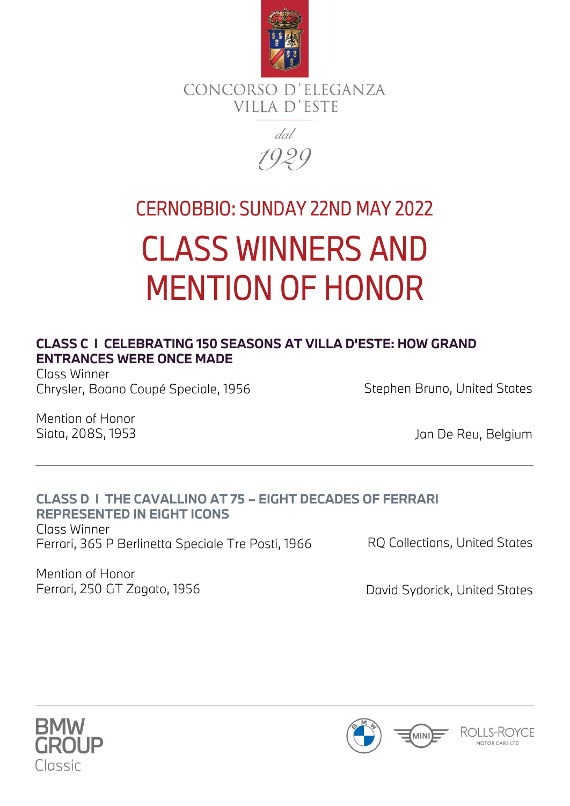



# CERNOBBIO: SUNDAY 22ND MAY 2022 CLASS WINNERS AND MENTION OF HONOR

#### **CLASS C I CELEBRATING 150 SEASONS AT VILLA D'ESTE: HOW GRAND ENTRANCES WERE ONCE MADE**

Class Winner Chrysler, Boano Coupé Speciale, 1956

Stephen Bruno, United States

Mention of Honor Siata, 208S, 1953

Jan De Reu, Belgium

## **CLASS D I THE CAVALLINO AT 75 – EIGHT DECADES OF FERRARI REPRESENTED IN EIGHT ICONS**

Class Winner Ferrari, 365 P Berlinetta Speciale Tre Posti, 1966

Mention of Honor Ferrari, 250 GT Zagato, 1956 Canada Barato Bavid Sydorick, United States

RQ Collections, United States